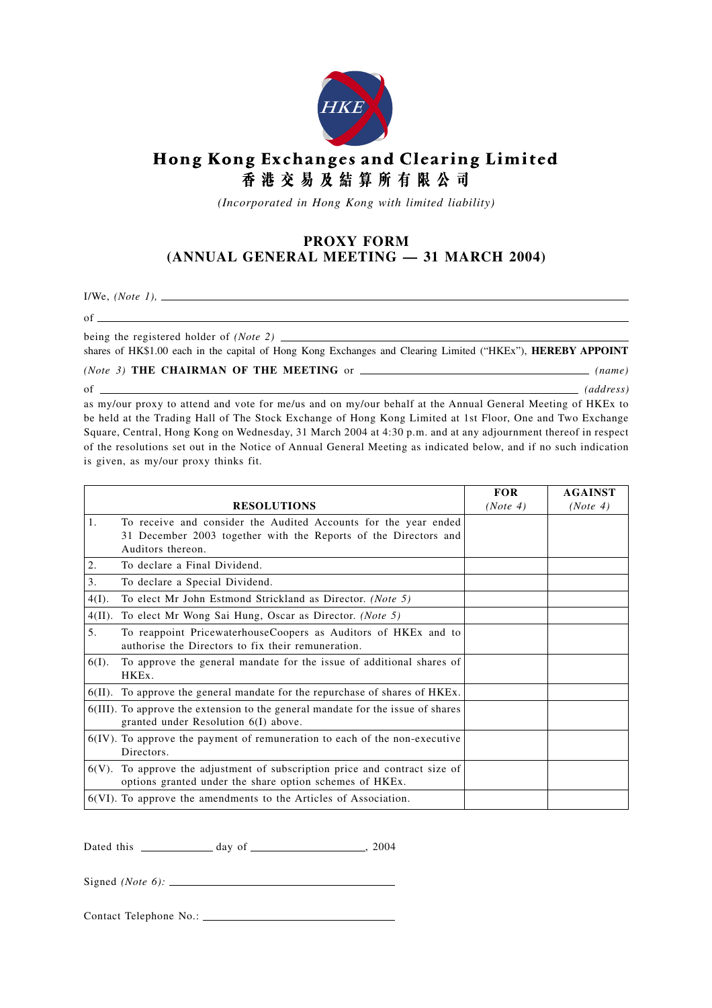

## Hong Kong Exchanges and Clearing Limited 香港交易及結算所有限公司

*(Incorporated in Hong Kong with limited liability)*

## **PROXY FORM (ANNUAL GENERAL MEETING — 31 MARCH 2004)**

I/We, *(Note 1),*

of

being the registered holder of *(Note 2)*

shares of HK\$1.00 each in the capital of Hong Kong Exchanges and Clearing Limited ("HKEx"), **HEREBY APPOINT**

<u> 1989 - Johann Stoff, deutscher Stoffen und der Stoffen und der Stoffen und der Stoffen und der Stoffen und der</u>

## *(Note 3)* **THE CHAIRMAN OF THE MEETING** or *(name)*

of *(address)* as my/our proxy to attend and vote for me/us and on my/our behalf at the Annual General Meeting of HKEx to be held at the Trading Hall of The Stock Exchange of Hong Kong Limited at 1st Floor, One and Two Exchange Square, Central, Hong Kong on Wednesday, 31 March 2004 at 4:30 p.m. and at any adjournment thereof in respect of the resolutions set out in the Notice of Annual General Meeting as indicated below, and if no such indication is given, as my/our proxy thinks fit.

|           |                                                                                                                                                         | <b>FOR</b> | <b>AGAINST</b> |
|-----------|---------------------------------------------------------------------------------------------------------------------------------------------------------|------------|----------------|
|           | <b>RESOLUTIONS</b>                                                                                                                                      | (Note 4)   | (Note 4)       |
| 1.        | To receive and consider the Audited Accounts for the year ended<br>31 December 2003 together with the Reports of the Directors and<br>Auditors thereon. |            |                |
| 2.        | To declare a Final Dividend.                                                                                                                            |            |                |
| 3.        | To declare a Special Dividend.                                                                                                                          |            |                |
| $4(I)$ .  | To elect Mr John Estmond Strickland as Director. (Note 5)                                                                                               |            |                |
| $4(II)$ . | To elect Mr Wong Sai Hung, Oscar as Director. (Note 5)                                                                                                  |            |                |
| 5.        | To reappoint PricewaterhouseCoopers as Auditors of HKEx and to<br>authorise the Directors to fix their remuneration.                                    |            |                |
| $6(I)$ .  | To approve the general mandate for the issue of additional shares of<br>HKEx.                                                                           |            |                |
|           | $6(II)$ . To approve the general mandate for the repurchase of shares of $HKEx$ .                                                                       |            |                |
|           | 6(III). To approve the extension to the general mandate for the issue of shares<br>granted under Resolution 6(I) above.                                 |            |                |
|           | $6(IV)$ . To approve the payment of remuneration to each of the non-executive<br>Directors.                                                             |            |                |
|           | $6(V)$ . To approve the adjustment of subscription price and contract size of<br>options granted under the share option schemes of HKEx.                |            |                |
|           | $6(VI)$ . To approve the amendments to the Articles of Association.                                                                                     |            |                |

Dated this  $\frac{1}{2004}$  day of  $\frac{1}{2004}$ 

Signed *(Note 6):*

Contact Telephone No.: